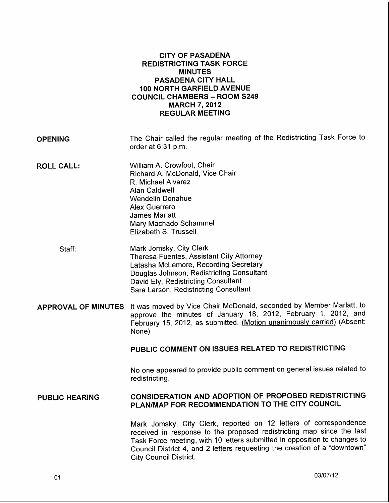|                       | <b>CITY OF PASADENA</b><br><b>REDISTRICTING TASK FORCE</b><br><b>MINUTES</b><br><b>PASADENA CITY HALL</b><br>100 NORTH GARFIELD AVENUE<br><b>COUNCIL CHAMBERS - ROOM S249</b><br><b>MARCH 7, 2012</b><br><b>REGULAR MEETING</b>                                                                                                       |
|-----------------------|---------------------------------------------------------------------------------------------------------------------------------------------------------------------------------------------------------------------------------------------------------------------------------------------------------------------------------------|
| <b>OPENING</b>        | The Chair called the regular meeting of the Redistricting Task Force to<br>order at 6:31 p.m.                                                                                                                                                                                                                                         |
| <b>ROLL CALL:</b>     | William A. Crowfoot, Chair<br>Richard A. McDonald, Vice Chair<br>R. Michael Alvarez<br><b>Alan Caldwell</b><br><b>Wendelin Donahue</b><br><b>Alex Guerrero</b><br><b>James Marlatt</b><br>Mary Machado Schammel<br>Elizabeth S. Trussell                                                                                              |
| Staff:                | Mark Jomsky, City Clerk<br><b>Theresa Fuentes, Assistant City Attorney</b><br>Latasha McLemore, Recording Secretary<br>Douglas Johnson, Redistricting Consultant<br>David Ely, Redistricting Consultant<br>Sara Larson, Redistricting Consultant                                                                                      |
|                       | APPROVAL OF MINUTES It was moved by Vice Chair McDonald, seconded by Member Marlatt, to<br>approve the minutes of January 18, 2012, February 1, 2012, and<br>February 15, 2012, as submitted. (Motion unanimously carried) (Absent:<br>None)                                                                                          |
|                       | PUBLIC COMMENT ON ISSUES RELATED TO REDISTRICTING                                                                                                                                                                                                                                                                                     |
|                       | No one appeared to provide public comment on general issues related to<br>redistricting.                                                                                                                                                                                                                                              |
| <b>PUBLIC HEARING</b> | CONSIDERATION AND ADOPTION OF PROPOSED REDISTRICTING<br>PLAN/MAP FOR RECOMMENDATION TO THE CITY COUNCIL                                                                                                                                                                                                                               |
|                       | Mark Jomsky, City Clerk, reported on 12 letters of correspondence<br>received in response to the proposed redistricting map since the last<br>Task Force meeting, with 10 letters submitted in opposition to changes to<br>Council District 4, and 2 letters requesting the creation of a "downtown"<br><b>City Council District.</b> |

03/07/12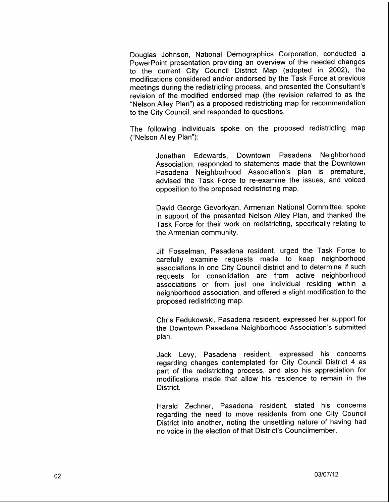Douglas Johnson, National Demographics Corporation, conducted a PowerPoint presentation providing an overview of the needed changes to the current City Council District Map (adopted in 2002), the modifications considered and/or endorsed by the Task Force at previous meetings during the redistricting process, and presented the Consultant's revision of the modified endorsed map (the revision referred to as the "Nelson Alley Plan") as a proposed redistricting map for recommendation to the City Council, and responded to questions.

The following individuals spoke on the proposed redistricting map ("Nelson Alley Plan"):

> Jonathan Edewards, Downtown Pasadena Neighborhood Association, responded to statements made that the Downtown Pasadena Neighborhood Association's plan is premature, advised the Task Force to re-examine the issues, and voiced opposition to the proposed redistricting map.

> David George Gevorkyan, Armenian National Committee, spoke in support of the presented Nelson Alley Plan, and thanked the Task Force for their work on redistricting, specifically relating to the Armenian community.

> Jill Fosselman, Pasadena resident, urged the Task Force to carefully examine requests made to keep neighborhood associations in one City Council district and to determine if such requests for consolidation are from active neighborhood associations or from just one individual residing within a neighborhood association, and offered a slight modification to the proposed redistricting map.

> Chris Fedukowski, Pasadena resident, expressed her support for the Downtown Pasadena Neighborhood Association's submitted plan.

> Jack Levy, Pasadena resident, expressed his concerns regarding changes contemplated for City Council District 4 as part of the redistricting process, and also his appreciation for modifications made that allow his residence to remain in the District.

> Harald Zechner, Pasadena resident, stated his concerns regarding the need to move residents from one City Council District into another, noting the unsettling nature of having had no voice in the election of that District's Councilmember.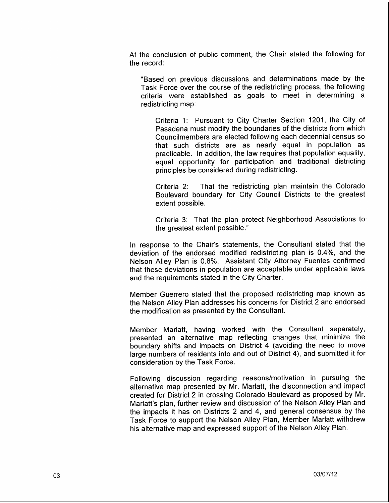At the conclusion of public comment, the Chair stated the following for the record:

"Based on previous discussions and determinations made by the Task Force over the course of the redistricting process, the following criteria were established as goals to meet in determining a redistricting map:

Criteria 1: Pursuant to City Charter Section 1201, the City of Pasadena must modify the boundaries of the districts from which Councilmembers are elected following each decennial census so that such districts are as nearly equal in population as practicable. In addition, the law requires that population equality, equal opportunity for participation and traditional districting principles be considered during redistricting.

Criteria 2: That the redistricting plan maintain the Colorado Boulevard boundary for City Council Districts to the greatest extent possible.

Criteria 3: That the plan protect Neighborhood Associations to the greatest extent possible."

In response to the Chair's statements, the Consultant stated that the deviation of the endorsed modified redistricting plan is 0.4%, and the Nelson Alley Plan is 0.8%. Assistant City Attorney Fuentes confirmed that these deviations in population are acceptable under applicable laws and the requirements stated in the City Charter.

Member Guerrero stated that the proposed redistricting map known as the Nelson Alley Plan addresses his concerns for District 2 and endorsed the modification as presented by the Consultant.

Member Marlatt, having worked with the Consultant separately, presented an alternative map reflecting changes that minimize the boundary shifts and impacts on District 4 (avoiding the need to move large numbers of residents into and out of District 4}, and submitted it for consideration by the Task Force.

Following discussion regarding reasons/motivation in pursuing the alternative map presented by Mr. Marlatt, the disconnection and impact created for District 2 in crossing Colorado Boulevard as proposed by Mr. Marlatt's plan, further review and discussion of the Nelson Alley Plan and the impacts it has on Districts 2 and 4, and general consensus by the Task Force to support the Nelson Alley Plan, Member Marlatt withdrew his alternative map and expressed support of the Nelson Alley Plan.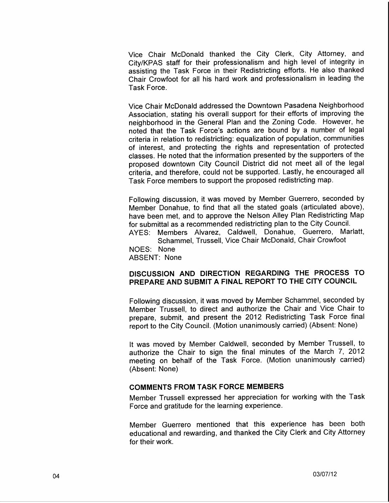Vice Chair McDonald thanked the City Clerk, City Attorney, and City/KPAS staff for their professionalism and high level of integrity in assisting the Task Force in their Redistricting efforts. He also thanked Chair Crowfoot for all his hard work and professionalism in leading the Task Force.

Vice Chair McDonald addressed the Downtown Pasadena Neighborhood Association, stating his overall support for their efforts of improving the neighborhood in the General Plan and the Zoning Code. However, he noted that the Task Force's actions are bound by a number of legal criteria in relation to redistricting: equalization of population, communities of interest, and protecting the rights and representation of protected classes. He noted that the information presented by the supporters of the proposed downtown City Council District did not meet all of the legal criteria, and therefore, could not be supported. Lastly, he encouraged all Task Force members to support the proposed redistricting map.

Following discussion, it was moved by Member Guerrero, seconded by Member Donahue, to find that all the stated goals (articulated above), have been met, and to approve the Nelson Alley Plan Redistricting Map for submittal as a recommended redistricting plan to the City Council. AYES: Members Alvarez, Caldwell, Donahue, Guerrero, Marlatt, Schammel, Trussell, Vice Chair McDonald, Chair Crowfoot NOES: None

ABSENT: None

## DISCUSSION AND DIRECTION REGARDING THE PROCESS TO PREPARE AND SUBMIT A FINAL REPORT TO THE CITY COUNCIL

Following discussion, it was moved by Member Schammel, seconded by Member Trussell, to direct and authorize the Chair and Vice Chair to prepare, submit, and present the 2012 Redistricting Task Force final report to the City Council. (Motion unanimously carried) (Absent: None)

It was moved by Member Caldwell, seconded by Member Trussell, to authorize the Chair to sign the final minutes of the March 7, 2012 meeting on behalf of the Task Force. (Motion unanimously carried) (Absent: None)

## **COMMENTS FROM TASK FORCE MEMBERS**

Member Trussell expressed her appreciation for working with the Task Force and gratitude for the learning experience.

Member Guerrero mentioned that this experience has been both educational and rewarding, and thanked the City Clerk and City Attorney for their work.